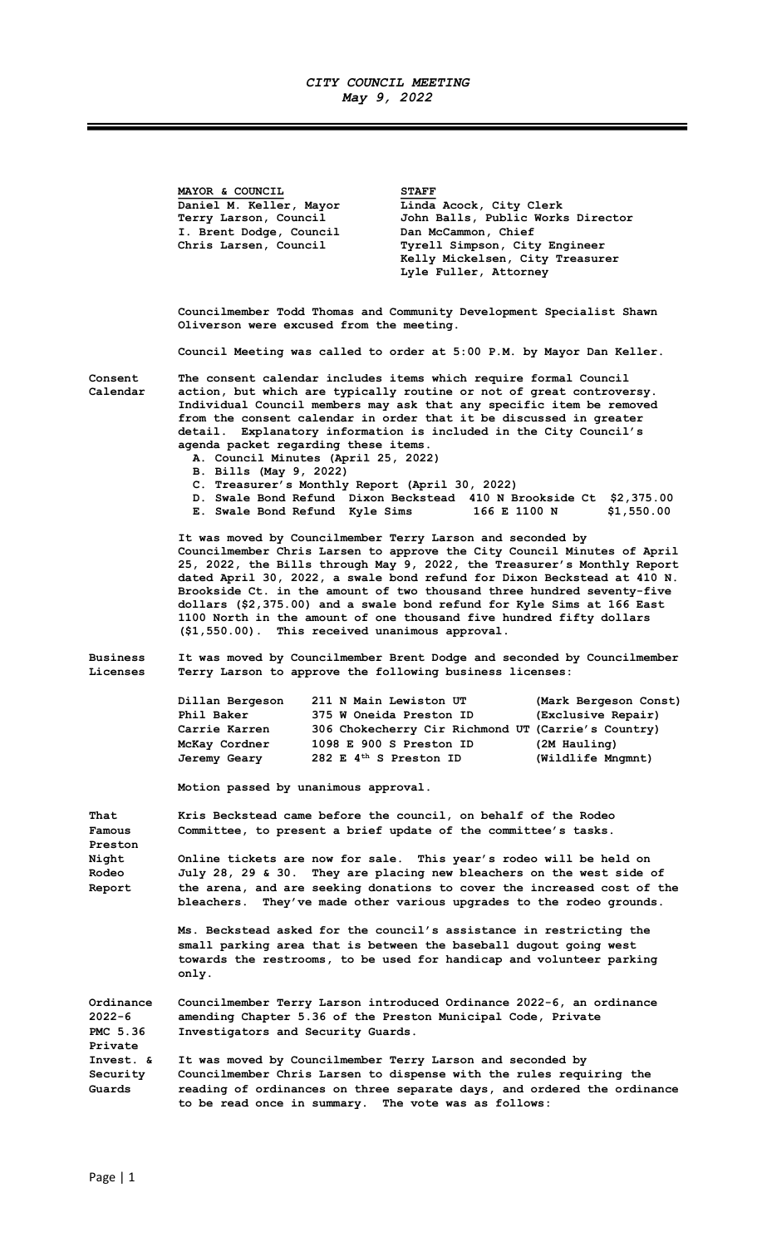## CITY COUNCIL MEETING May 9, 2022

MAYOR & COUNCIL STAFF Daniel M. Keller, Mayor Linda Acock, City Clerk Terry Larson, Council John Balls, Public Works Director I. Brent Dodge, Council Dan McCammon, Chief Chris Larsen, Council Tyrell Simpson, City Engineer Kelly Mickelsen, City Treasurer Lyle Fuller, Attorney Councilmember Todd Thomas and Community Development Specialist Shawn Oliverson were excused from the meeting. Council Meeting was called to order at 5:00 P.M. by Mayor Dan Keller. Consent The consent calendar includes items which require formal Council Calendar action, but which are typically routine or not of great controversy. Individual Council members may ask that any specific item be removed from the consent calendar in order that it be discussed in greater detail. Explanatory information is included in the City Council's agenda packet regarding these items. A. Council Minutes (April 25, 2022) B. Bills (May 9, 2022) C. Treasurer's Monthly Report (April 30, 2022) D. Swale Bond Refund Dixon Beckstead 410 N Brookside Ct \$2,375.00 E. Swale Bond Refund Kyle Sims 166 E 1100 N \$1,550.00 It was moved by Councilmember Terry Larson and seconded by Councilmember Chris Larsen to approve the City Council Minutes of April 25, 2022, the Bills through May 9, 2022, the Treasurer's Monthly Report dated April 30, 2022, a swale bond refund for Dixon Beckstead at 410 N. Brookside Ct. in the amount of two thousand three hundred seventy-five dollars (\$2,375.00) and a swale bond refund for Kyle Sims at 166 East 1100 North in the amount of one thousand five hundred fifty dollars (\$1,550.00). This received unanimous approval. Business It was moved by Councilmember Brent Dodge and seconded by Councilmember Licenses Terry Larson to approve the following business licenses: Dillan Bergeson 211 N Main Lewiston UT (Mark Bergeson Const) Phil Baker 375 W Oneida Preston ID (Exclusive Repair) Carrie Karren 306 Chokecherry Cir Richmond UT (Carrie's Country) McKay Cordner 1098 E 900 S Preston ID (2M Hauling)<br>Jeremy Geary 282 E 4<sup>th</sup> S Preston ID (Wildlife Mngmnt) Jeremy Geary 282 E  $4<sup>th</sup>$  S Preston ID Motion passed by unanimous approval. That Kris Beckstead came before the council, on behalf of the Rodeo Famous Committee, to present a brief update of the committee's tasks. Preston Night Online tickets are now for sale. This year's rodeo will be held on Rodeo July 28, 29 & 30. They are placing new bleachers on the west side of Report the arena, and are seeking donations to cover the increased cost of the bleachers. They've made other various upgrades to the rodeo grounds. Ms. Beckstead asked for the council's assistance in restricting the small parking area that is between the baseball dugout going west towards the restrooms, to be used for handicap and volunteer parking only. Ordinance Councilmember Terry Larson introduced Ordinance 2022-6, an ordinance 2022-6 amending Chapter 5.36 of the Preston Municipal Code, Private PMC 5.36 Investigators and Security Guards. Private Invest. & It was moved by Councilmember Terry Larson and seconded by Security Councilmember Chris Larsen to dispense with the rules requiring the Guards reading of ordinances on three separate days, and ordered the ordinance to be read once in summary. The vote was as follows: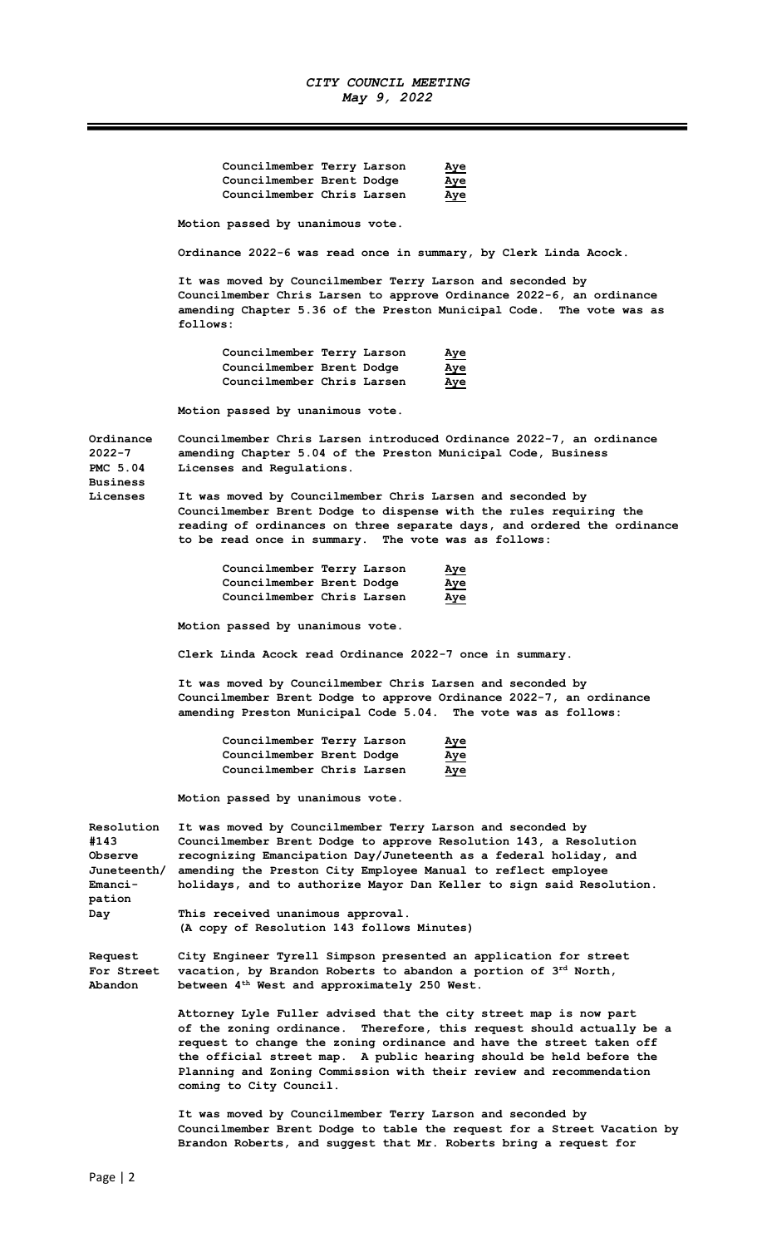|                                                        | Councilmember Terry Larson<br>Aye<br>Councilmember Brent Dodge<br>Aye<br>Councilmember Chris Larsen<br>Aye                                                                                                                                                          |  |  |  |
|--------------------------------------------------------|---------------------------------------------------------------------------------------------------------------------------------------------------------------------------------------------------------------------------------------------------------------------|--|--|--|
|                                                        | Motion passed by unanimous vote.                                                                                                                                                                                                                                    |  |  |  |
|                                                        | Ordinance 2022-6 was read once in summary, by Clerk Linda Acock.                                                                                                                                                                                                    |  |  |  |
|                                                        | It was moved by Councilmember Terry Larson and seconded by<br>Councilmember Chris Larsen to approve Ordinance 2022-6, an ordinance<br>amending Chapter 5.36 of the Preston Municipal Code. The vote was as<br>follows:                                              |  |  |  |
|                                                        | Councilmember Terry Larson<br>Aye<br>Councilmember Brent Dodge<br><u>Aye</u><br>Councilmember Chris Larsen<br><u>Aye</u>                                                                                                                                            |  |  |  |
|                                                        | Motion passed by unanimous vote.                                                                                                                                                                                                                                    |  |  |  |
| Ordinance<br>$2022 - 7$<br>PMC 5.04<br><b>Business</b> | Councilmember Chris Larsen introduced Ordinance 2022-7, an ordinance<br>amending Chapter 5.04 of the Preston Municipal Code, Business<br>Licenses and Regulations.                                                                                                  |  |  |  |
| Licenses                                               | It was moved by Councilmember Chris Larsen and seconded by<br>Councilmember Brent Dodge to dispense with the rules requiring the<br>reading of ordinances on three separate days, and ordered the ordinance<br>to be read once in summary. The vote was as follows: |  |  |  |
|                                                        | Councilmember Terry Larson<br>Aye<br>Councilmember Brent Dodge<br>Aye<br>Councilmember Chris Larsen<br>Aye                                                                                                                                                          |  |  |  |
|                                                        | Motion passed by unanimous vote.                                                                                                                                                                                                                                    |  |  |  |
|                                                        | Clerk Linda Acock read Ordinance 2022-7 once in summary.                                                                                                                                                                                                            |  |  |  |
|                                                        | It was moved by Councilmember Chris Larsen and seconded by<br>Councilmember Brent Dodge to approve Ordinance 2022-7, an ordinance<br>amending Preston Municipal Code 5.04. The vote was as follows:                                                                 |  |  |  |

| Councilmember Terry Larson |  | <u>Aye</u> |
|----------------------------|--|------------|
| Councilmember Brent Dodge  |  | <u>Aye</u> |
| Councilmember Chris Larsen |  | <u>Aye</u> |

Motion passed by unanimous vote.

| Resolution        | It was moved by Councilmember Terry Larson and seconded by           |  |  |
|-------------------|----------------------------------------------------------------------|--|--|
| #143              | Councilmember Brent Dodge to approve Resolution 143, a Resolution    |  |  |
| Observe           | recognizing Emancipation Day/Juneteenth as a federal holiday, and    |  |  |
| Juneteenth/       | amending the Preston City Employee Manual to reflect employee        |  |  |
| Emanci-<br>pation | holidays, and to authorize Mayor Dan Keller to sign said Resolution. |  |  |
| Day               | This received unanimous approval.                                    |  |  |
|                   | (A copy of Resolution 143 follows Minutes)                           |  |  |

Request City Engineer Tyrell Simpson presented an application for street For Street vacation, by Brandon Roberts to abandon a portion of 3<sup>rd</sup> North, Abandon between 4th West and approximately 250 West.

> Attorney Lyle Fuller advised that the city street map is now part of the zoning ordinance. Therefore, this request should actually be a request to change the zoning ordinance and have the street taken off the official street map. A public hearing should be held before the Planning and Zoning Commission with their review and recommendation coming to City Council.

It was moved by Councilmember Terry Larson and seconded by Councilmember Brent Dodge to table the request for a Street Vacation by Brandon Roberts, and suggest that Mr. Roberts bring a request for